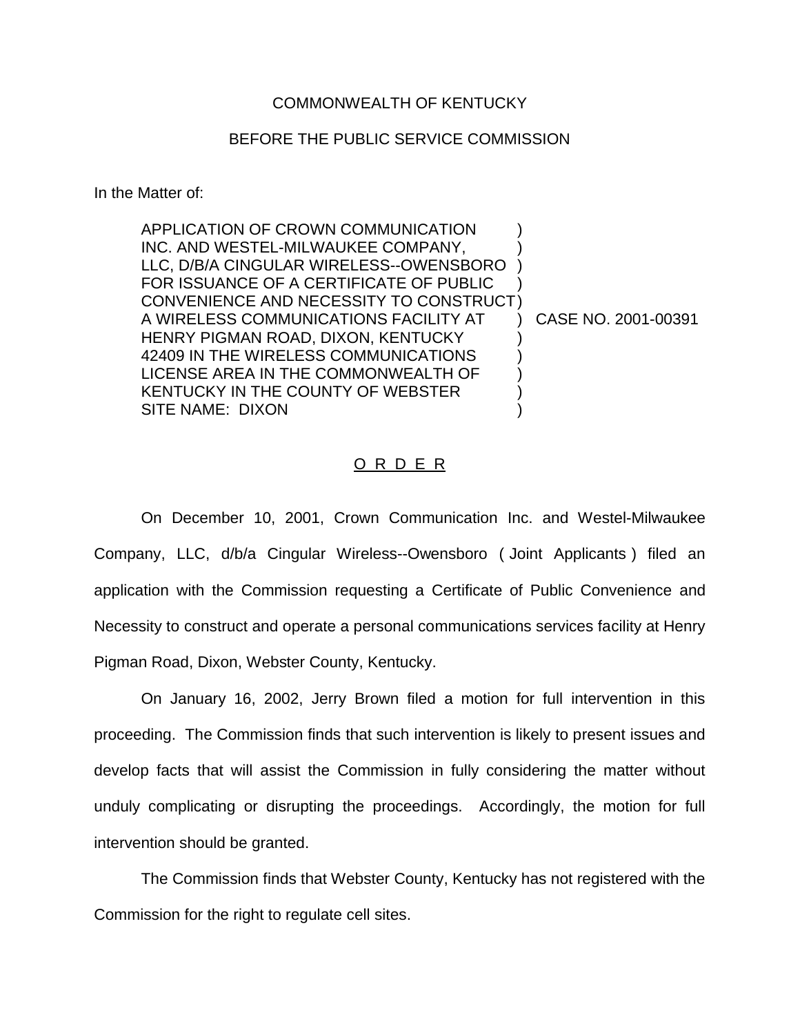## COMMONWEALTH OF KENTUCKY

## BEFORE THE PUBLIC SERVICE COMMISSION

In the Matter of:

| INC. AND WESTEL-MILWAUKEE COMPANY,<br>LLC, D/B/A CINGULAR WIRELESS--OWENSBORO<br>FOR ISSUANCE OF A CERTIFICATE OF PUBLIC<br>CONVENIENCE AND NECESSITY TO CONSTRUCT)<br>A WIRELESS COMMUNICATIONS FACILITY AT<br>HENRY PIGMAN ROAD, DIXON, KENTUCKY<br>42409 IN THE WIRELESS COMMUNICATIONS<br>LICENSE AREA IN THE COMMONWEALTH OF<br>KENTUCKY IN THE COUNTY OF WEBSTER | APPLICATION OF CROWN COMMUNICATION |                     |
|------------------------------------------------------------------------------------------------------------------------------------------------------------------------------------------------------------------------------------------------------------------------------------------------------------------------------------------------------------------------|------------------------------------|---------------------|
|                                                                                                                                                                                                                                                                                                                                                                        |                                    |                     |
|                                                                                                                                                                                                                                                                                                                                                                        |                                    |                     |
|                                                                                                                                                                                                                                                                                                                                                                        |                                    |                     |
|                                                                                                                                                                                                                                                                                                                                                                        |                                    |                     |
|                                                                                                                                                                                                                                                                                                                                                                        |                                    | CASE NO. 2001-00391 |
|                                                                                                                                                                                                                                                                                                                                                                        |                                    |                     |
|                                                                                                                                                                                                                                                                                                                                                                        |                                    |                     |
|                                                                                                                                                                                                                                                                                                                                                                        |                                    |                     |
|                                                                                                                                                                                                                                                                                                                                                                        |                                    |                     |
|                                                                                                                                                                                                                                                                                                                                                                        | SITE NAME: DIXON                   |                     |

## O R D E R

On December 10, 2001, Crown Communication Inc. and Westel-Milwaukee Company, LLC, d/b/a Cingular Wireless--Owensboro ( Joint Applicants ) filed an application with the Commission requesting a Certificate of Public Convenience and Necessity to construct and operate a personal communications services facility at Henry Pigman Road, Dixon, Webster County, Kentucky.

On January 16, 2002, Jerry Brown filed a motion for full intervention in this proceeding. The Commission finds that such intervention is likely to present issues and develop facts that will assist the Commission in fully considering the matter without unduly complicating or disrupting the proceedings. Accordingly, the motion for full intervention should be granted.

The Commission finds that Webster County, Kentucky has not registered with the Commission for the right to regulate cell sites.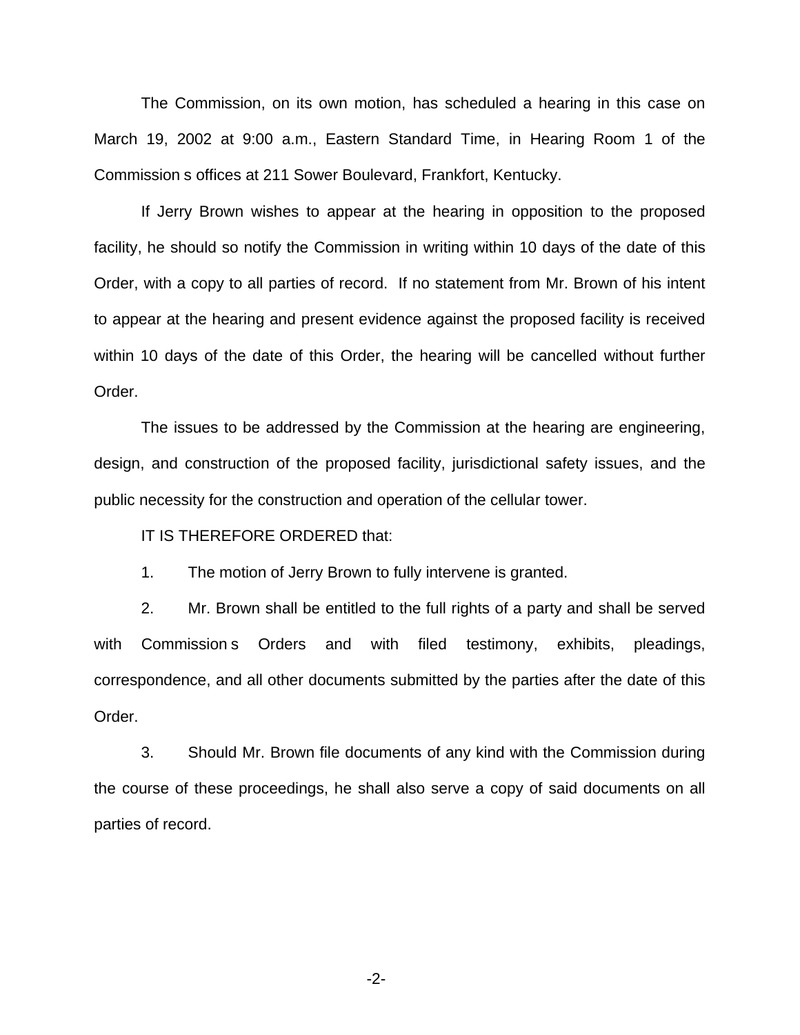The Commission, on its own motion, has scheduled a hearing in this case on March 19, 2002 at 9:00 a.m., Eastern Standard Time, in Hearing Room 1 of the Commission s offices at 211 Sower Boulevard, Frankfort, Kentucky.

If Jerry Brown wishes to appear at the hearing in opposition to the proposed facility, he should so notify the Commission in writing within 10 days of the date of this Order, with a copy to all parties of record. If no statement from Mr. Brown of his intent to appear at the hearing and present evidence against the proposed facility is received within 10 days of the date of this Order, the hearing will be cancelled without further Order.

The issues to be addressed by the Commission at the hearing are engineering, design, and construction of the proposed facility, jurisdictional safety issues, and the public necessity for the construction and operation of the cellular tower.

IT IS THEREFORE ORDERED that:

1. The motion of Jerry Brown to fully intervene is granted.

2. Mr. Brown shall be entitled to the full rights of a party and shall be served with Commission s Orders and with filed testimony, exhibits, pleadings, correspondence, and all other documents submitted by the parties after the date of this Order.

3. Should Mr. Brown file documents of any kind with the Commission during the course of these proceedings, he shall also serve a copy of said documents on all parties of record.

-2-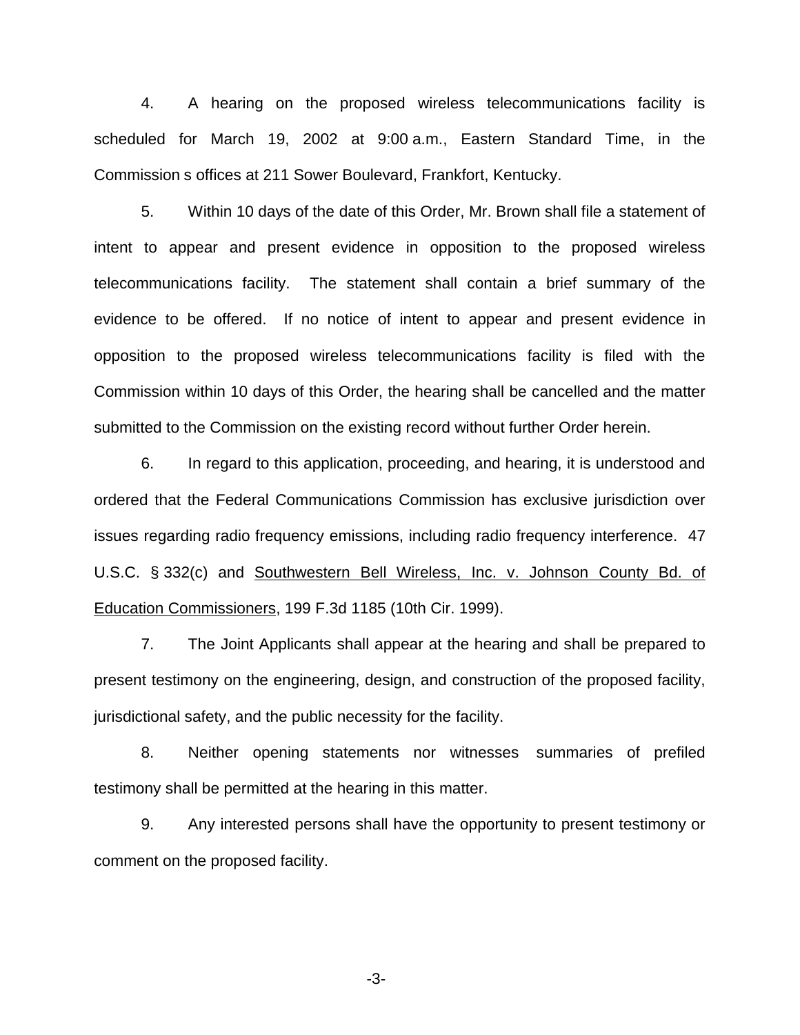4. A hearing on the proposed wireless telecommunications facility is scheduled for March 19, 2002 at 9:00 a.m., Eastern Standard Time, in the Commission s offices at 211 Sower Boulevard, Frankfort, Kentucky.

5. Within 10 days of the date of this Order, Mr. Brown shall file a statement of intent to appear and present evidence in opposition to the proposed wireless telecommunications facility. The statement shall contain a brief summary of the evidence to be offered. If no notice of intent to appear and present evidence in opposition to the proposed wireless telecommunications facility is filed with the Commission within 10 days of this Order, the hearing shall be cancelled and the matter submitted to the Commission on the existing record without further Order herein.

6. In regard to this application, proceeding, and hearing, it is understood and ordered that the Federal Communications Commission has exclusive jurisdiction over issues regarding radio frequency emissions, including radio frequency interference. 47 U.S.C. § 332(c) and Southwestern Bell Wireless, Inc. v. Johnson County Bd. of Education Commissioners, 199 F.3d 1185 (10th Cir. 1999).

7. The Joint Applicants shall appear at the hearing and shall be prepared to present testimony on the engineering, design, and construction of the proposed facility, jurisdictional safety, and the public necessity for the facility.

8. Neither opening statements nor witnesses summaries of prefiled testimony shall be permitted at the hearing in this matter.

9. Any interested persons shall have the opportunity to present testimony or comment on the proposed facility.

-3-